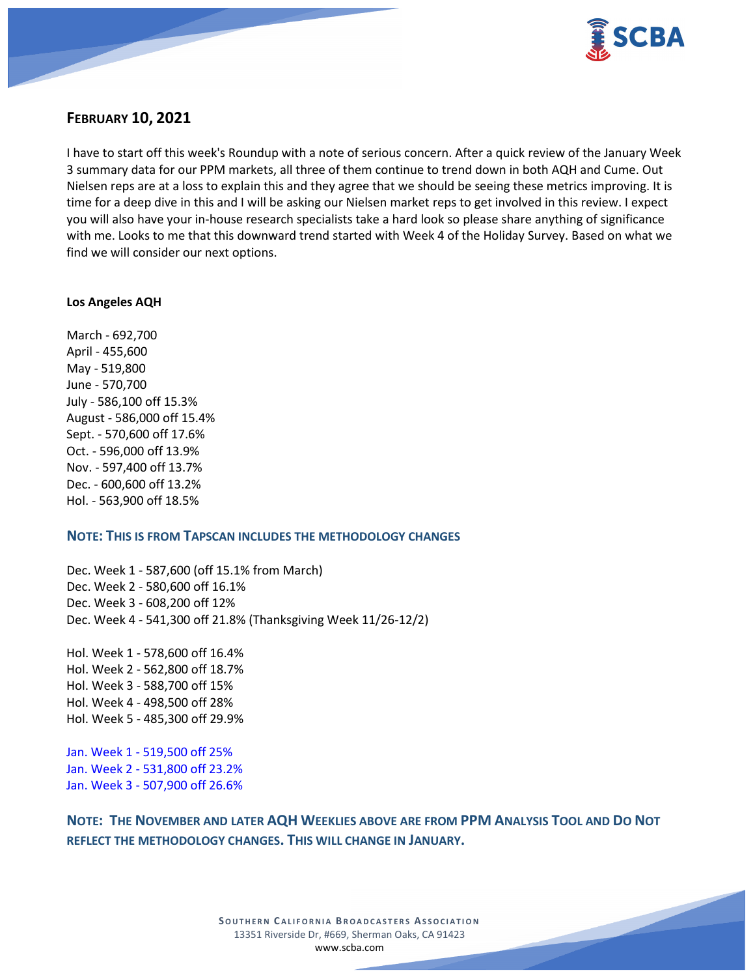

# **FEBRUARY 10, 2021**

I have to start off this week's Roundup with a note of serious concern. After a quick review of the January Week 3 summary data for our PPM markets, all three of them continue to trend down in both AQH and Cume. Out Nielsen reps are at a loss to explain this and they agree that we should be seeing these metrics improving. It is time for a deep dive in this and I will be asking our Nielsen market reps to get involved in this review. I expect you will also have your in-house research specialists take a hard look so please share anything of significance with me. Looks to me that this downward trend started with Week 4 of the Holiday Survey. Based on what we find we will consider our next options.

### **Los Angeles AQH**

March - 692,700 April - 455,600 May - 519,800 June - 570,700 July - 586,100 off 15.3% August - 586,000 off 15.4% Sept. - 570,600 off 17.6% Oct. - 596,000 off 13.9% Nov. - 597,400 off 13.7% Dec. - 600,600 off 13.2% Hol. - 563,900 off 18.5%

# **NOTE: THIS IS FROM TAPSCAN INCLUDES THE METHODOLOGY CHANGES**

Dec. Week 1 - 587,600 (off 15.1% from March) Dec. Week 2 - 580,600 off 16.1% Dec. Week 3 - 608,200 off 12% Dec. Week 4 - 541,300 off 21.8% (Thanksgiving Week 11/26-12/2)

Hol. Week 1 - 578,600 off 16.4% Hol. Week 2 - 562,800 off 18.7% Hol. Week 3 - 588,700 off 15% Hol. Week 4 - 498,500 off 28% Hol. Week 5 - 485,300 off 29.9%

Jan. Week 1 - 519,500 off 25% Jan. Week 2 - 531,800 off 23.2% Jan. Week 3 - 507,900 off 26.6%

**NOTE: THE NOVEMBER AND LATER AQH WEEKLIES ABOVE ARE FROM PPM ANALYSIS TOOL AND DO NOT REFLECT THE METHODOLOGY CHANGES. THIS WILL CHANGE IN JANUARY.**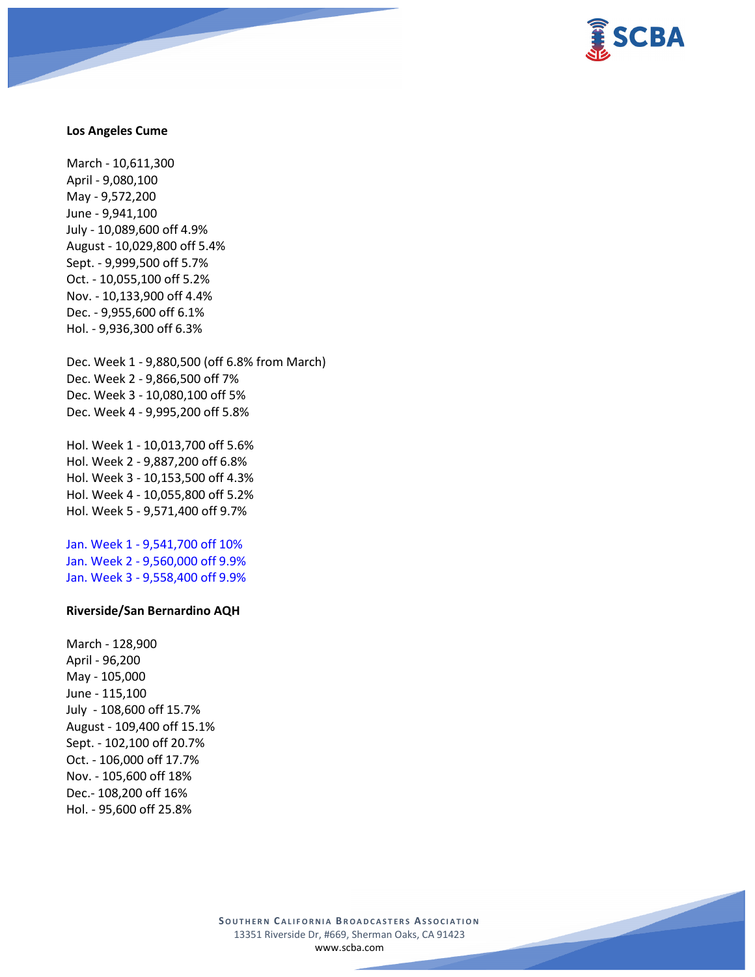

#### **Los Angeles Cume**

March - 10,611,300 April - 9,080,100 May - 9,572,200 June - 9,941,100 July - 10,089,600 off 4.9% August - 10,029,800 off 5.4% Sept. - 9,999,500 off 5.7% Oct. - 10,055,100 off 5.2% Nov. - 10,133,900 off 4.4% Dec. - 9,955,600 off 6.1% Hol. - 9,936,300 off 6.3%

Dec. Week 1 - 9,880,500 (off 6.8% from March) Dec. Week 2 - 9,866,500 off 7% Dec. Week 3 - 10,080,100 off 5% Dec. Week 4 - 9,995,200 off 5.8%

Hol. Week 1 - 10,013,700 off 5.6% Hol. Week 2 - 9,887,200 off 6.8% Hol. Week 3 - 10,153,500 off 4.3% Hol. Week 4 - 10,055,800 off 5.2% Hol. Week 5 - 9,571,400 off 9.7%

Jan. Week 1 - 9,541,700 off 10% Jan. Week 2 - 9,560,000 off 9.9% Jan. Week 3 - 9,558,400 off 9.9%

## **Riverside/San Bernardino AQH**

March - 128,900 April - 96,200 May - 105,000 June - 115,100 July - 108,600 off 15.7% August - 109,400 off 15.1% Sept. - 102,100 off 20.7% Oct. - 106,000 off 17.7% Nov. - 105,600 off 18% Dec.- 108,200 off 16% Hol. - 95,600 off 25.8%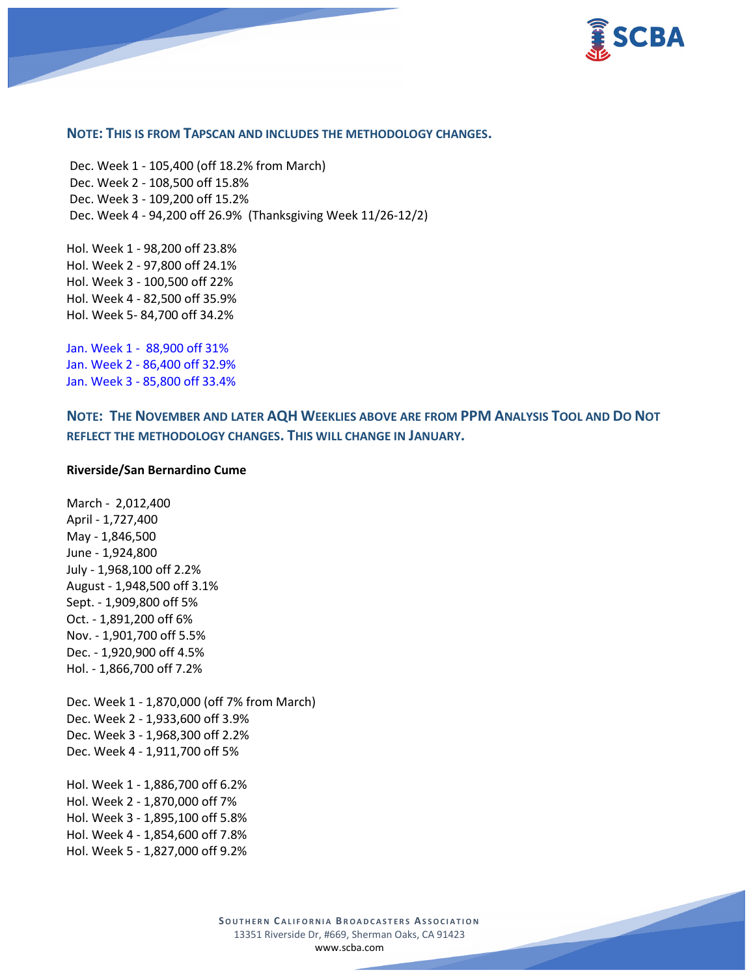

## **NOTE: THIS IS FROM TAPSCAN AND INCLUDES THE METHODOLOGY CHANGES.**

Dec. Week 1 - 105,400 (off 18.2% from March) Dec. Week 2 - 108,500 off 15.8% Dec. Week 3 - 109,200 off 15.2% Dec. Week 4 - 94,200 off 26.9% (Thanksgiving Week 11/26-12/2)

Hol. Week 1 - 98,200 off 23.8% Hol. Week 2 - 97,800 off 24.1% Hol. Week 3 - 100,500 off 22% Hol. Week 4 - 82,500 off 35.9% Hol. Week 5- 84,700 off 34.2%

Jan. Week 1 - 88,900 off 31% Jan. Week 2 - 86,400 off 32.9% Jan. Week 3 - 85,800 off 33.4%

**NOTE: THE NOVEMBER AND LATER AQH WEEKLIES ABOVE ARE FROM PPM ANALYSIS TOOL AND DO NOT REFLECT THE METHODOLOGY CHANGES. THIS WILL CHANGE IN JANUARY.**

### **Riverside/San Bernardino Cume**

March - 2,012,400 April - 1,727,400 May - 1,846,500 June - 1,924,800 July - 1,968,100 off 2.2% August - 1,948,500 off 3.1% Sept. - 1,909,800 off 5% Oct. - 1,891,200 off 6% Nov. - 1,901,700 off 5.5% Dec. - 1,920,900 off 4.5% Hol. - 1,866,700 off 7.2% Dec. Week 1 - 1,870,000 (off 7% from March) Dec. Week 2 - 1,933,600 off 3.9% Dec. Week 3 - 1,968,300 off 2.2% Dec. Week 4 - 1,911,700 off 5% Hol. Week 1 - 1,886,700 off 6.2% Hol. Week 2 - 1,870,000 off 7%

Hol. Week 3 - 1,895,100 off 5.8% Hol. Week 4 - 1,854,600 off 7.8%

Hol. Week 5 - 1,827,000 off 9.2%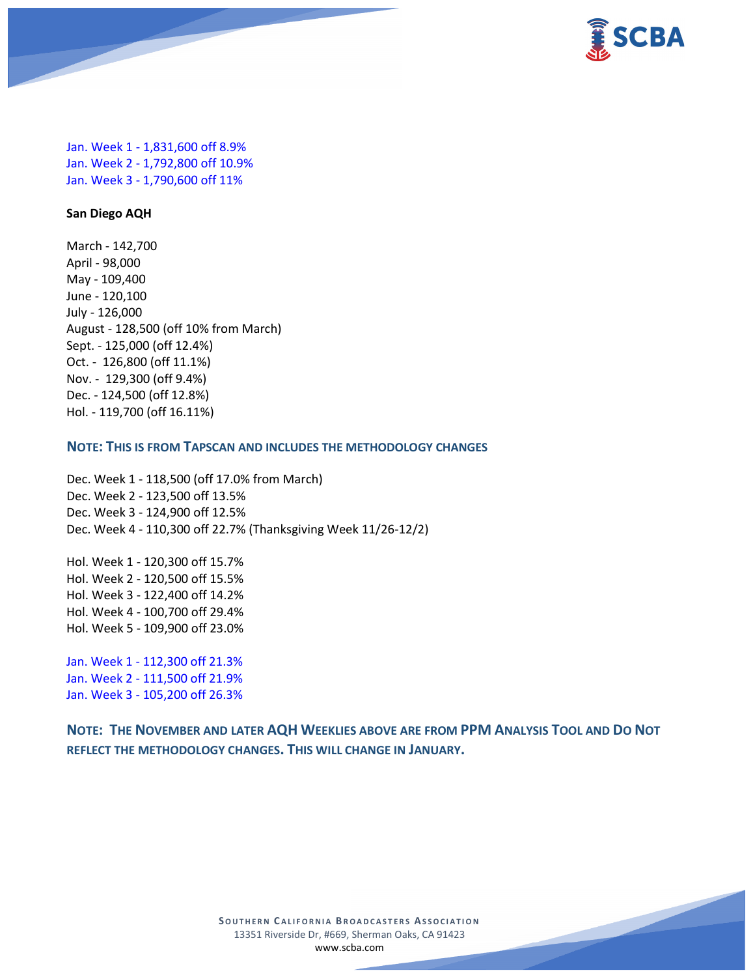

Jan. Week 1 - 1,831,600 off 8.9% Jan. Week 2 - 1,792,800 off 10.9% Jan. Week 3 - 1,790,600 off 11%

## **San Diego AQH**

March - 142,700 April - 98,000 May - 109,400 June - 120,100 July - 126,000 August - 128,500 (off 10% from March) Sept. - 125,000 (off 12.4%) Oct. - 126,800 (off 11.1%) Nov. - 129,300 (off 9.4%) Dec. - 124,500 (off 12.8%) Hol. - 119,700 (off 16.11%)

# **NOTE: THIS IS FROM TAPSCAN AND INCLUDES THE METHODOLOGY CHANGES**

Dec. Week 1 - 118,500 (off 17.0% from March) Dec. Week 2 - 123,500 off 13.5% Dec. Week 3 - 124,900 off 12.5% Dec. Week 4 - 110,300 off 22.7% (Thanksgiving Week 11/26-12/2)

Hol. Week 1 - 120,300 off 15.7% Hol. Week 2 - 120,500 off 15.5% Hol. Week 3 - 122,400 off 14.2% Hol. Week 4 - 100,700 off 29.4% Hol. Week 5 - 109,900 off 23.0%

Jan. Week 1 - 112,300 off 21.3% Jan. Week 2 - 111,500 off 21.9% Jan. Week 3 - 105,200 off 26.3%

**NOTE: THE NOVEMBER AND LATER AQH WEEKLIES ABOVE ARE FROM PPM ANALYSIS TOOL AND DO NOT REFLECT THE METHODOLOGY CHANGES. THIS WILL CHANGE IN JANUARY.**

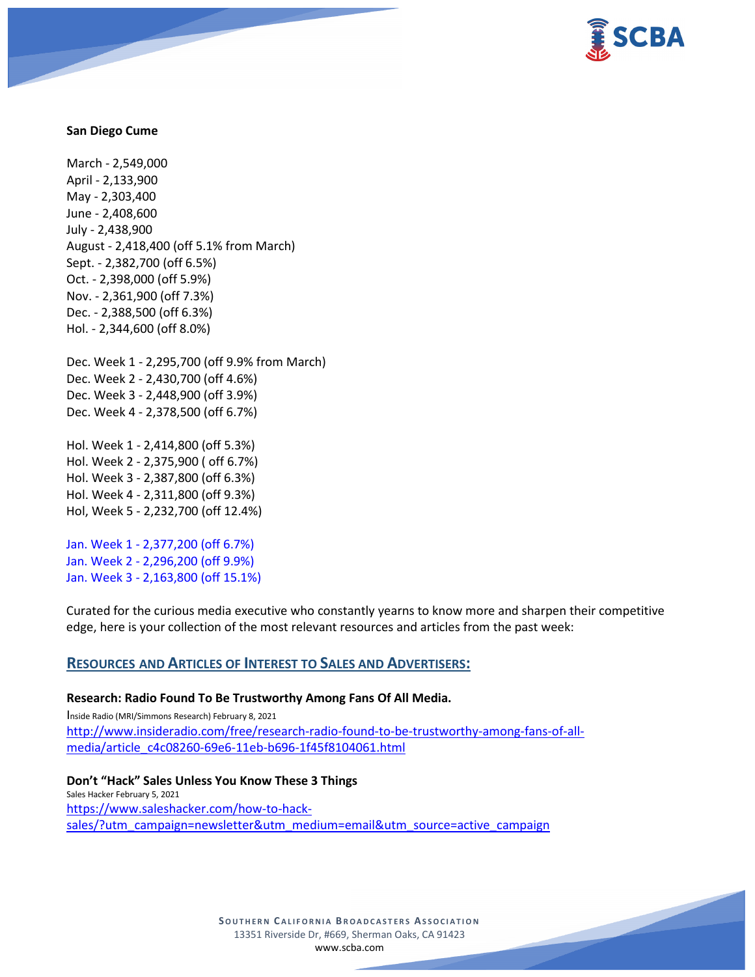

### **San Diego Cume**

March - 2,549,000 April - 2,133,900 May - 2,303,400 June - 2,408,600 July - 2,438,900 August - 2,418,400 (off 5.1% from March) Sept. - 2,382,700 (off 6.5%) Oct. - 2,398,000 (off 5.9%) Nov. - 2,361,900 (off 7.3%) Dec. - 2,388,500 (off 6.3%) Hol. - 2,344,600 (off 8.0%)

Dec. Week 1 - 2,295,700 (off 9.9% from March) Dec. Week 2 - 2,430,700 (off 4.6%) Dec. Week 3 - 2,448,900 (off 3.9%) Dec. Week 4 - 2,378,500 (off 6.7%)

Hol. Week 1 - 2,414,800 (off 5.3%) Hol. Week 2 - 2,375,900 ( off 6.7%) Hol. Week 3 - 2,387,800 (off 6.3%) Hol. Week 4 - 2,311,800 (off 9.3%) Hol, Week 5 - 2,232,700 (off 12.4%)

Jan. Week 1 - 2,377,200 (off 6.7%) Jan. Week 2 - 2,296,200 (off 9.9%) Jan. Week 3 - 2,163,800 (off 15.1%)

Curated for the curious media executive who constantly yearns to know more and sharpen their competitive edge, here is your collection of the most relevant resources and articles from the past week:

# **RESOURCES AND ARTICLES OF INTEREST TO SALES AND ADVERTISERS:**

#### **Research: Radio Found To Be Trustworthy Among Fans Of All Media.**

Inside Radio (MRI/Simmons Research) February 8, 2021 [http://www.insideradio.com/free/research-radio-found-to-be-trustworthy-among-fans-of-all](http://www.insideradio.com/free/research-radio-found-to-be-trustworthy-among-fans-of-all-media/article_c4c08260-69e6-11eb-b696-1f45f8104061.html)[media/article\\_c4c08260-69e6-11eb-b696-1f45f8104061.html](http://www.insideradio.com/free/research-radio-found-to-be-trustworthy-among-fans-of-all-media/article_c4c08260-69e6-11eb-b696-1f45f8104061.html)

**Don't "Hack" Sales Unless You Know These 3 Things** Sales Hacker February 5, 2021 [https://www.saleshacker.com/how-to-hack](https://www.saleshacker.com/how-to-hack-sales/?utm_campaign=newsletter&utm_medium=email&utm_source=active_campaign)[sales/?utm\\_campaign=newsletter&utm\\_medium=email&utm\\_source=active\\_campaign](https://www.saleshacker.com/how-to-hack-sales/?utm_campaign=newsletter&utm_medium=email&utm_source=active_campaign)

> **SOUTHERN C ALIFORNIA B ROADCASTERS ASSOCIATION** 13351 Riverside Dr, #669, Sherman Oaks, CA 91423 [www.scba.com](http://www.scba.com/)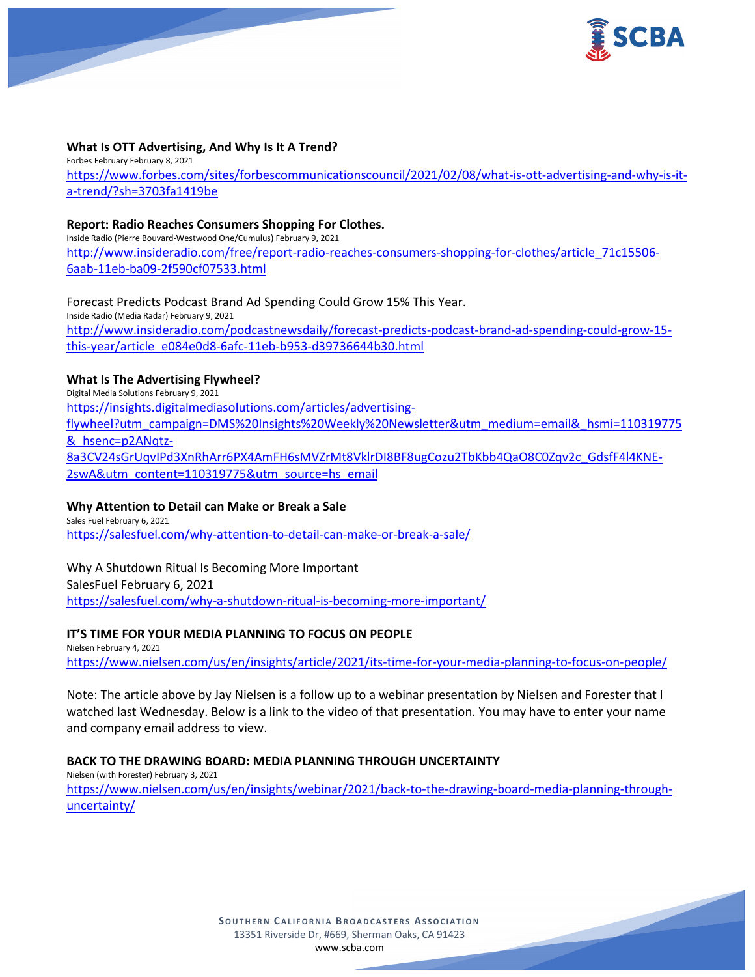

# **What Is OTT Advertising, And Why Is It A Trend?**

Forbes February February 8, 2021 [https://www.forbes.com/sites/forbescommunicationscouncil/2021/02/08/what-is-ott-advertising-and-why-is-it](https://www.forbes.com/sites/forbescommunicationscouncil/2021/02/08/what-is-ott-advertising-and-why-is-it-a-trend/?sh=3703fa1419be)[a-trend/?sh=3703fa1419be](https://www.forbes.com/sites/forbescommunicationscouncil/2021/02/08/what-is-ott-advertising-and-why-is-it-a-trend/?sh=3703fa1419be)

### **Report: Radio Reaches Consumers Shopping For Clothes.**

Inside Radio (Pierre Bouvard-Westwood One/Cumulus) February 9, 2021 [http://www.insideradio.com/free/report-radio-reaches-consumers-shopping-for-clothes/article\\_71c15506-](http://www.insideradio.com/free/report-radio-reaches-consumers-shopping-for-clothes/article_71c15506-6aab-11eb-ba09-2f590cf07533.html) [6aab-11eb-ba09-2f590cf07533.html](http://www.insideradio.com/free/report-radio-reaches-consumers-shopping-for-clothes/article_71c15506-6aab-11eb-ba09-2f590cf07533.html)

Forecast Predicts Podcast Brand Ad Spending Could Grow 15% This Year. Inside Radio (Media Radar) February 9, 2021 [http://www.insideradio.com/podcastnewsdaily/forecast-predicts-podcast-brand-ad-spending-could-grow-15](http://www.insideradio.com/podcastnewsdaily/forecast-predicts-podcast-brand-ad-spending-could-grow-15-this-year/article_e084e0d8-6afc-11eb-b953-d39736644b30.html) [this-year/article\\_e084e0d8-6afc-11eb-b953-d39736644b30.html](http://www.insideradio.com/podcastnewsdaily/forecast-predicts-podcast-brand-ad-spending-could-grow-15-this-year/article_e084e0d8-6afc-11eb-b953-d39736644b30.html)

# **What Is The Advertising Flywheel?**

Digital Media Solutions February 9, 2021 [https://insights.digitalmediasolutions.com/articles/advertising](https://insights.digitalmediasolutions.com/articles/advertising-flywheel?utm_campaign=DMS%20Insights%20Weekly%20Newsletter&utm_medium=email&_hsmi=110319775&_hsenc=p2ANqtz-8a3CV24sGrUqvIPd3XnRhArr6PX4AmFH6sMVZrMt8VklrDI8BF8ugCozu2TbKbb4QaO8C0Zqv2c_GdsfF4l4KNE-2swA&utm_content=110319775&utm_source=hs_email)[flywheel?utm\\_campaign=DMS%20Insights%20Weekly%20Newsletter&utm\\_medium=email&\\_hsmi=110319775](https://insights.digitalmediasolutions.com/articles/advertising-flywheel?utm_campaign=DMS%20Insights%20Weekly%20Newsletter&utm_medium=email&_hsmi=110319775&_hsenc=p2ANqtz-8a3CV24sGrUqvIPd3XnRhArr6PX4AmFH6sMVZrMt8VklrDI8BF8ugCozu2TbKbb4QaO8C0Zqv2c_GdsfF4l4KNE-2swA&utm_content=110319775&utm_source=hs_email) [&\\_hsenc=p2ANqtz-](https://insights.digitalmediasolutions.com/articles/advertising-flywheel?utm_campaign=DMS%20Insights%20Weekly%20Newsletter&utm_medium=email&_hsmi=110319775&_hsenc=p2ANqtz-8a3CV24sGrUqvIPd3XnRhArr6PX4AmFH6sMVZrMt8VklrDI8BF8ugCozu2TbKbb4QaO8C0Zqv2c_GdsfF4l4KNE-2swA&utm_content=110319775&utm_source=hs_email)[8a3CV24sGrUqvIPd3XnRhArr6PX4AmFH6sMVZrMt8VklrDI8BF8ugCozu2TbKbb4QaO8C0Zqv2c\\_GdsfF4l4KNE-](https://insights.digitalmediasolutions.com/articles/advertising-flywheel?utm_campaign=DMS%20Insights%20Weekly%20Newsletter&utm_medium=email&_hsmi=110319775&_hsenc=p2ANqtz-8a3CV24sGrUqvIPd3XnRhArr6PX4AmFH6sMVZrMt8VklrDI8BF8ugCozu2TbKbb4QaO8C0Zqv2c_GdsfF4l4KNE-2swA&utm_content=110319775&utm_source=hs_email)[2swA&utm\\_content=110319775&utm\\_source=hs\\_email](https://insights.digitalmediasolutions.com/articles/advertising-flywheel?utm_campaign=DMS%20Insights%20Weekly%20Newsletter&utm_medium=email&_hsmi=110319775&_hsenc=p2ANqtz-8a3CV24sGrUqvIPd3XnRhArr6PX4AmFH6sMVZrMt8VklrDI8BF8ugCozu2TbKbb4QaO8C0Zqv2c_GdsfF4l4KNE-2swA&utm_content=110319775&utm_source=hs_email)

### **Why Attention to Detail can Make or Break a Sale**

Sales Fuel February 6, 2021 <https://salesfuel.com/why-attention-to-detail-can-make-or-break-a-sale/>

Why A Shutdown Ritual Is Becoming More Important SalesFuel February 6, 2021 <https://salesfuel.com/why-a-shutdown-ritual-is-becoming-more-important/>

### **IT'S TIME FOR YOUR MEDIA PLANNING TO FOCUS ON PEOPLE**

Nielsen February 4, 2021 <https://www.nielsen.com/us/en/insights/article/2021/its-time-for-your-media-planning-to-focus-on-people/>

Note: The article above by Jay Nielsen is a follow up to a webinar presentation by Nielsen and Forester that I watched last Wednesday. Below is a link to the video of that presentation. You may have to enter your name and company email address to view.

### **BACK TO THE DRAWING BOARD: MEDIA PLANNING THROUGH UNCERTAINTY**

Nielsen (with Forester) February 3, 2021 [https://www.nielsen.com/us/en/insights/webinar/2021/back-to-the-drawing-board-media-planning-through](https://www.nielsen.com/us/en/insights/webinar/2021/back-to-the-drawing-board-media-planning-through-uncertainty/)[uncertainty/](https://www.nielsen.com/us/en/insights/webinar/2021/back-to-the-drawing-board-media-planning-through-uncertainty/)

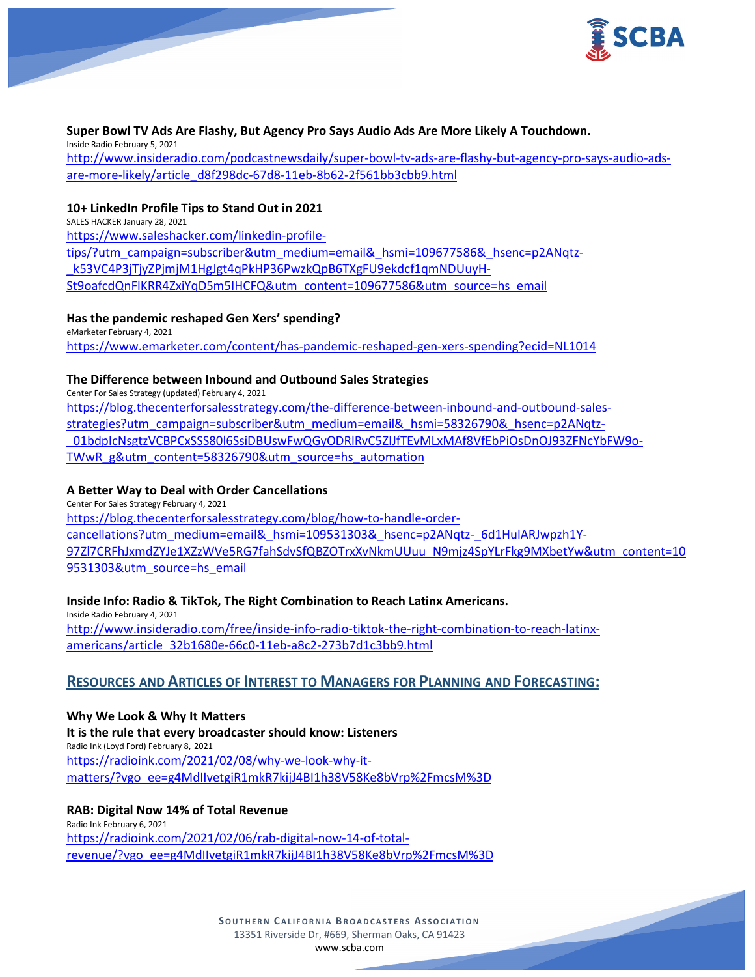

## **Super Bowl TV Ads Are Flashy, But Agency Pro Says Audio Ads Are More Likely A Touchdown.**

Inside Radio February 5, 2021 [http://www.insideradio.com/podcastnewsdaily/super-bowl-tv-ads-are-flashy-but-agency-pro-says-audio-ads](http://www.insideradio.com/podcastnewsdaily/super-bowl-tv-ads-are-flashy-but-agency-pro-says-audio-ads-are-more-likely/article_d8f298dc-67d8-11eb-8b62-2f561bb3cbb9.html)[are-more-likely/article\\_d8f298dc-67d8-11eb-8b62-2f561bb3cbb9.html](http://www.insideradio.com/podcastnewsdaily/super-bowl-tv-ads-are-flashy-but-agency-pro-says-audio-ads-are-more-likely/article_d8f298dc-67d8-11eb-8b62-2f561bb3cbb9.html)

## **10+ LinkedIn Profile Tips to Stand Out in 2021**

SALES HACKER January 28, 2021 [https://www.saleshacker.com/linkedin-profile](https://www.saleshacker.com/linkedin-profile-tips/?utm_campaign=subscriber&utm_medium=email&_hsmi=109677586&_hsenc=p2ANqtz-_k53VC4P3jTjyZPjmjM1HgJgt4qPkHP36PwzkQpB6TXgFU9ekdcf1qmNDUuyH-St9oafcdQnFlKRR4ZxiYqD5m5IHCFQ&utm_content=109677586&utm_source=hs_email)[tips/?utm\\_campaign=subscriber&utm\\_medium=email&\\_hsmi=109677586&\\_hsenc=p2ANqtz-](https://www.saleshacker.com/linkedin-profile-tips/?utm_campaign=subscriber&utm_medium=email&_hsmi=109677586&_hsenc=p2ANqtz-_k53VC4P3jTjyZPjmjM1HgJgt4qPkHP36PwzkQpB6TXgFU9ekdcf1qmNDUuyH-St9oafcdQnFlKRR4ZxiYqD5m5IHCFQ&utm_content=109677586&utm_source=hs_email) [\\_k53VC4P3jTjyZPjmjM1HgJgt4qPkHP36PwzkQpB6TXgFU9ekdcf1qmNDUuyH-](https://www.saleshacker.com/linkedin-profile-tips/?utm_campaign=subscriber&utm_medium=email&_hsmi=109677586&_hsenc=p2ANqtz-_k53VC4P3jTjyZPjmjM1HgJgt4qPkHP36PwzkQpB6TXgFU9ekdcf1qmNDUuyH-St9oafcdQnFlKRR4ZxiYqD5m5IHCFQ&utm_content=109677586&utm_source=hs_email)[St9oafcdQnFlKRR4ZxiYqD5m5IHCFQ&utm\\_content=109677586&utm\\_source=hs\\_email](https://www.saleshacker.com/linkedin-profile-tips/?utm_campaign=subscriber&utm_medium=email&_hsmi=109677586&_hsenc=p2ANqtz-_k53VC4P3jTjyZPjmjM1HgJgt4qPkHP36PwzkQpB6TXgFU9ekdcf1qmNDUuyH-St9oafcdQnFlKRR4ZxiYqD5m5IHCFQ&utm_content=109677586&utm_source=hs_email)

### **Has the pandemic reshaped Gen Xers' spending?**

eMarketer February 4, 2021 <https://www.emarketer.com/content/has-pandemic-reshaped-gen-xers-spending?ecid=NL1014>

# **The Difference between Inbound and Outbound Sales Strategies**

Center For Sales Strategy (updated) February 4, 2021

[https://blog.thecenterforsalesstrategy.com/the-difference-between-inbound-and-outbound-sales](https://blog.thecenterforsalesstrategy.com/the-difference-between-inbound-and-outbound-sales-strategies?utm_campaign=subscriber&utm_medium=email&_hsmi=58326790&_hsenc=p2ANqtz-_01bdpIcNsgtzVCBPCxSSS80l6SsiDBUswFwQGyODRlRvC5ZIJfTEvMLxMAf8VfEbPiOsDnOJ93ZFNcYbFW9o-TWwR_g&utm_content=58326790&utm_source=hs_automation)[strategies?utm\\_campaign=subscriber&utm\\_medium=email&\\_hsmi=58326790&\\_hsenc=p2ANqtz-](https://blog.thecenterforsalesstrategy.com/the-difference-between-inbound-and-outbound-sales-strategies?utm_campaign=subscriber&utm_medium=email&_hsmi=58326790&_hsenc=p2ANqtz-_01bdpIcNsgtzVCBPCxSSS80l6SsiDBUswFwQGyODRlRvC5ZIJfTEvMLxMAf8VfEbPiOsDnOJ93ZFNcYbFW9o-TWwR_g&utm_content=58326790&utm_source=hs_automation) [\\_01bdpIcNsgtzVCBPCxSSS80l6SsiDBUswFwQGyODRlRvC5ZIJfTEvMLxMAf8VfEbPiOsDnOJ93ZFNcYbFW9o-](https://blog.thecenterforsalesstrategy.com/the-difference-between-inbound-and-outbound-sales-strategies?utm_campaign=subscriber&utm_medium=email&_hsmi=58326790&_hsenc=p2ANqtz-_01bdpIcNsgtzVCBPCxSSS80l6SsiDBUswFwQGyODRlRvC5ZIJfTEvMLxMAf8VfEbPiOsDnOJ93ZFNcYbFW9o-TWwR_g&utm_content=58326790&utm_source=hs_automation)[TWwR\\_g&utm\\_content=58326790&utm\\_source=hs\\_automation](https://blog.thecenterforsalesstrategy.com/the-difference-between-inbound-and-outbound-sales-strategies?utm_campaign=subscriber&utm_medium=email&_hsmi=58326790&_hsenc=p2ANqtz-_01bdpIcNsgtzVCBPCxSSS80l6SsiDBUswFwQGyODRlRvC5ZIJfTEvMLxMAf8VfEbPiOsDnOJ93ZFNcYbFW9o-TWwR_g&utm_content=58326790&utm_source=hs_automation)

# **A Better Way to Deal with Order Cancellations**

Center For Sales Strategy February 4, 2021 [https://blog.thecenterforsalesstrategy.com/blog/how-to-handle-order](https://blog.thecenterforsalesstrategy.com/blog/how-to-handle-order-cancellations?utm_medium=email&_hsmi=109531303&_hsenc=p2ANqtz-_6d1HulARJwpzh1Y-97Zl7CRFhJxmdZYJe1XZzWVe5RG7fahSdvSfQBZOTrxXvNkmUUuu_N9mjz4SpYLrFkg9MXbetYw&utm_content=109531303&utm_source=hs_email)[cancellations?utm\\_medium=email&\\_hsmi=109531303&\\_hsenc=p2ANqtz-\\_6d1HulARJwpzh1Y-](https://blog.thecenterforsalesstrategy.com/blog/how-to-handle-order-cancellations?utm_medium=email&_hsmi=109531303&_hsenc=p2ANqtz-_6d1HulARJwpzh1Y-97Zl7CRFhJxmdZYJe1XZzWVe5RG7fahSdvSfQBZOTrxXvNkmUUuu_N9mjz4SpYLrFkg9MXbetYw&utm_content=109531303&utm_source=hs_email)[97Zl7CRFhJxmdZYJe1XZzWVe5RG7fahSdvSfQBZOTrxXvNkmUUuu\\_N9mjz4SpYLrFkg9MXbetYw&utm\\_content=10](https://blog.thecenterforsalesstrategy.com/blog/how-to-handle-order-cancellations?utm_medium=email&_hsmi=109531303&_hsenc=p2ANqtz-_6d1HulARJwpzh1Y-97Zl7CRFhJxmdZYJe1XZzWVe5RG7fahSdvSfQBZOTrxXvNkmUUuu_N9mjz4SpYLrFkg9MXbetYw&utm_content=109531303&utm_source=hs_email) [9531303&utm\\_source=hs\\_email](https://blog.thecenterforsalesstrategy.com/blog/how-to-handle-order-cancellations?utm_medium=email&_hsmi=109531303&_hsenc=p2ANqtz-_6d1HulARJwpzh1Y-97Zl7CRFhJxmdZYJe1XZzWVe5RG7fahSdvSfQBZOTrxXvNkmUUuu_N9mjz4SpYLrFkg9MXbetYw&utm_content=109531303&utm_source=hs_email)

# **Inside Info: Radio & TikTok, The Right Combination to Reach Latinx Americans.**

Inside Radio February 4, 2021 [http://www.insideradio.com/free/inside-info-radio-tiktok-the-right-combination-to-reach-latinx](http://www.insideradio.com/free/inside-info-radio-tiktok-the-right-combination-to-reach-latinx-americans/article_32b1680e-66c0-11eb-a8c2-273b7d1c3bb9.html)[americans/article\\_32b1680e-66c0-11eb-a8c2-273b7d1c3bb9.html](http://www.insideradio.com/free/inside-info-radio-tiktok-the-right-combination-to-reach-latinx-americans/article_32b1680e-66c0-11eb-a8c2-273b7d1c3bb9.html)

# **RESOURCES AND ARTICLES OF INTEREST TO MANAGERS FOR PLANNING AND FORECASTING:**

**Why We Look & Why It Matters It is the rule that every broadcaster should know: Listeners** Radio Ink (Loyd Ford) February 8, 2021 [https://radioink.com/2021/02/08/why-we-look-why-it](https://radioink.com/2021/02/08/why-we-look-why-it-matters/?vgo_ee=g4MdIIvetgiR1mkR7kijJ4BI1h38V58Ke8bVrp%2FmcsM%3D)[matters/?vgo\\_ee=g4MdIIvetgiR1mkR7kijJ4BI1h38V58Ke8bVrp%2FmcsM%3D](https://radioink.com/2021/02/08/why-we-look-why-it-matters/?vgo_ee=g4MdIIvetgiR1mkR7kijJ4BI1h38V58Ke8bVrp%2FmcsM%3D)

**RAB: Digital Now 14% of Total Revenue** Radio Ink February 6, 2021 [https://radioink.com/2021/02/06/rab-digital-now-14-of-total](https://radioink.com/2021/02/06/rab-digital-now-14-of-total-revenue/?vgo_ee=g4MdIIvetgiR1mkR7kijJ4BI1h38V58Ke8bVrp%2FmcsM%3D)[revenue/?vgo\\_ee=g4MdIIvetgiR1mkR7kijJ4BI1h38V58Ke8bVrp%2FmcsM%3D](https://radioink.com/2021/02/06/rab-digital-now-14-of-total-revenue/?vgo_ee=g4MdIIvetgiR1mkR7kijJ4BI1h38V58Ke8bVrp%2FmcsM%3D)

> **SOUTHERN C ALIFORNIA B ROADCASTERS ASSOCIATION** 13351 Riverside Dr, #669, Sherman Oaks, CA 91423 [www.scba.com](http://www.scba.com/)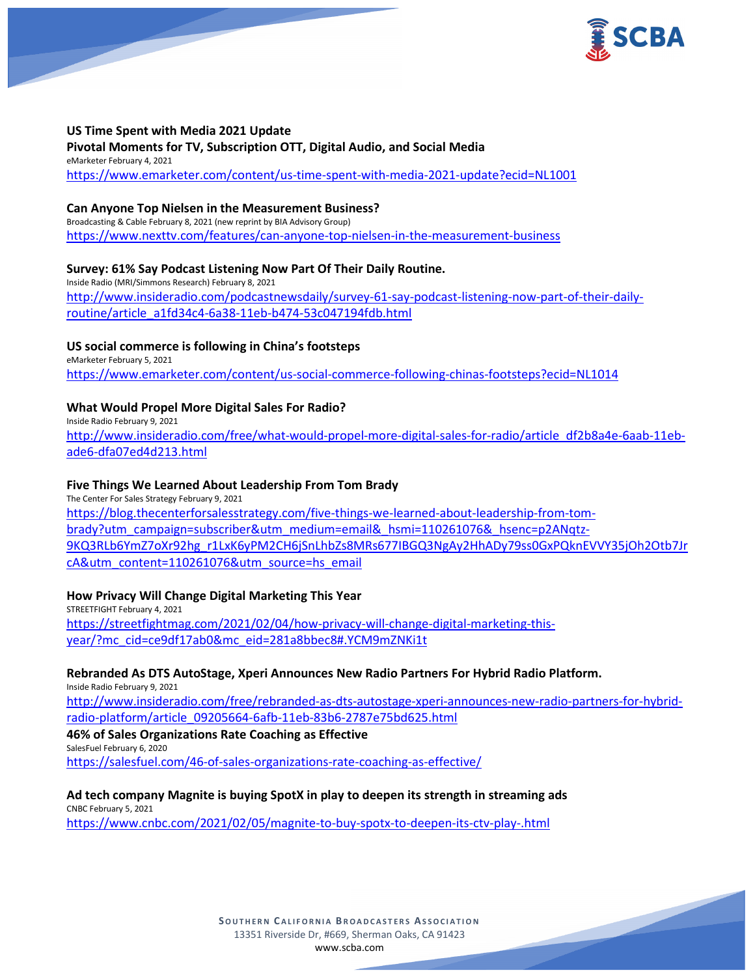

### **US Time Spent with Media 2021 Update**

**Pivotal Moments for TV, Subscription OTT, Digital Audio, and Social Media** eMarketer February 4, 2021 <https://www.emarketer.com/content/us-time-spent-with-media-2021-update?ecid=NL1001>

#### **Can Anyone Top Nielsen in the Measurement Business?**

Broadcasting & Cable February 8, 2021 (new reprint by BIA Advisory Group) <https://www.nexttv.com/features/can-anyone-top-nielsen-in-the-measurement-business>

# **Survey: 61% Say Podcast Listening Now Part Of Their Daily Routine.**

Inside Radio (MRI/Simmons Research) February 8, 2021 [http://www.insideradio.com/podcastnewsdaily/survey-61-say-podcast-listening-now-part-of-their-daily](http://www.insideradio.com/podcastnewsdaily/survey-61-say-podcast-listening-now-part-of-their-daily-routine/article_a1fd34c4-6a38-11eb-b474-53c047194fdb.html)[routine/article\\_a1fd34c4-6a38-11eb-b474-53c047194fdb.html](http://www.insideradio.com/podcastnewsdaily/survey-61-say-podcast-listening-now-part-of-their-daily-routine/article_a1fd34c4-6a38-11eb-b474-53c047194fdb.html)

# **US social commerce is following in China's footsteps**

eMarketer February 5, 2021 <https://www.emarketer.com/content/us-social-commerce-following-chinas-footsteps?ecid=NL1014>

# **What Would Propel More Digital Sales For Radio?**

Inside Radio February 9, 2021 [http://www.insideradio.com/free/what-would-propel-more-digital-sales-for-radio/article\\_df2b8a4e-6aab-11eb](http://www.insideradio.com/free/what-would-propel-more-digital-sales-for-radio/article_df2b8a4e-6aab-11eb-ade6-dfa07ed4d213.html)[ade6-dfa07ed4d213.html](http://www.insideradio.com/free/what-would-propel-more-digital-sales-for-radio/article_df2b8a4e-6aab-11eb-ade6-dfa07ed4d213.html)

# **Five Things We Learned About Leadership From Tom Brady**

The Center For Sales Strategy February 9, 2021 [https://blog.thecenterforsalesstrategy.com/five-things-we-learned-about-leadership-from-tom](https://blog.thecenterforsalesstrategy.com/five-things-we-learned-about-leadership-from-tom-brady?utm_campaign=subscriber&utm_medium=email&_hsmi=110261076&_hsenc=p2ANqtz-9KQ3RLb6YmZ7oXr92hg_r1LxK6yPM2CH6jSnLhbZs8MRs677IBGQ3NgAy2HhADy79ss0GxPQknEVVY35jOh2Otb7JrcA&utm_content=110261076&utm_source=hs_email)[brady?utm\\_campaign=subscriber&utm\\_medium=email&\\_hsmi=110261076&\\_hsenc=p2ANqtz-](https://blog.thecenterforsalesstrategy.com/five-things-we-learned-about-leadership-from-tom-brady?utm_campaign=subscriber&utm_medium=email&_hsmi=110261076&_hsenc=p2ANqtz-9KQ3RLb6YmZ7oXr92hg_r1LxK6yPM2CH6jSnLhbZs8MRs677IBGQ3NgAy2HhADy79ss0GxPQknEVVY35jOh2Otb7JrcA&utm_content=110261076&utm_source=hs_email)[9KQ3RLb6YmZ7oXr92hg\\_r1LxK6yPM2CH6jSnLhbZs8MRs677IBGQ3NgAy2HhADy79ss0GxPQknEVVY35jOh2Otb7Jr](https://blog.thecenterforsalesstrategy.com/five-things-we-learned-about-leadership-from-tom-brady?utm_campaign=subscriber&utm_medium=email&_hsmi=110261076&_hsenc=p2ANqtz-9KQ3RLb6YmZ7oXr92hg_r1LxK6yPM2CH6jSnLhbZs8MRs677IBGQ3NgAy2HhADy79ss0GxPQknEVVY35jOh2Otb7JrcA&utm_content=110261076&utm_source=hs_email) [cA&utm\\_content=110261076&utm\\_source=hs\\_email](https://blog.thecenterforsalesstrategy.com/five-things-we-learned-about-leadership-from-tom-brady?utm_campaign=subscriber&utm_medium=email&_hsmi=110261076&_hsenc=p2ANqtz-9KQ3RLb6YmZ7oXr92hg_r1LxK6yPM2CH6jSnLhbZs8MRs677IBGQ3NgAy2HhADy79ss0GxPQknEVVY35jOh2Otb7JrcA&utm_content=110261076&utm_source=hs_email)

### **How Privacy Will Change Digital Marketing This Year**

STREETFIGHT February 4, 2021 [https://streetfightmag.com/2021/02/04/how-privacy-will-change-digital-marketing-this](https://streetfightmag.com/2021/02/04/how-privacy-will-change-digital-marketing-this-year/?mc_cid=ce9df17ab0&mc_eid=281a8bbec8#.YCM9mZNKi1t)[year/?mc\\_cid=ce9df17ab0&mc\\_eid=281a8bbec8#.YCM9mZNKi1t](https://streetfightmag.com/2021/02/04/how-privacy-will-change-digital-marketing-this-year/?mc_cid=ce9df17ab0&mc_eid=281a8bbec8#.YCM9mZNKi1t)

### **Rebranded As DTS AutoStage, Xperi Announces New Radio Partners For Hybrid Radio Platform.**

Inside Radio February 9, 2021 [http://www.insideradio.com/free/rebranded-as-dts-autostage-xperi-announces-new-radio-partners-for-hybrid](http://www.insideradio.com/free/rebranded-as-dts-autostage-xperi-announces-new-radio-partners-for-hybrid-radio-platform/article_09205664-6afb-11eb-83b6-2787e75bd625.html)[radio-platform/article\\_09205664-6afb-11eb-83b6-2787e75bd625.html](http://www.insideradio.com/free/rebranded-as-dts-autostage-xperi-announces-new-radio-partners-for-hybrid-radio-platform/article_09205664-6afb-11eb-83b6-2787e75bd625.html)

# **46% of Sales Organizations Rate Coaching as Effective**

SalesFuel February 6, 2020

<https://salesfuel.com/46-of-sales-organizations-rate-coaching-as-effective/>

### **Ad tech company Magnite is buying SpotX in play to deepen its strength in streaming ads**

CNBC February 5, 2021 <https://www.cnbc.com/2021/02/05/magnite-to-buy-spotx-to-deepen-its-ctv-play-.html>